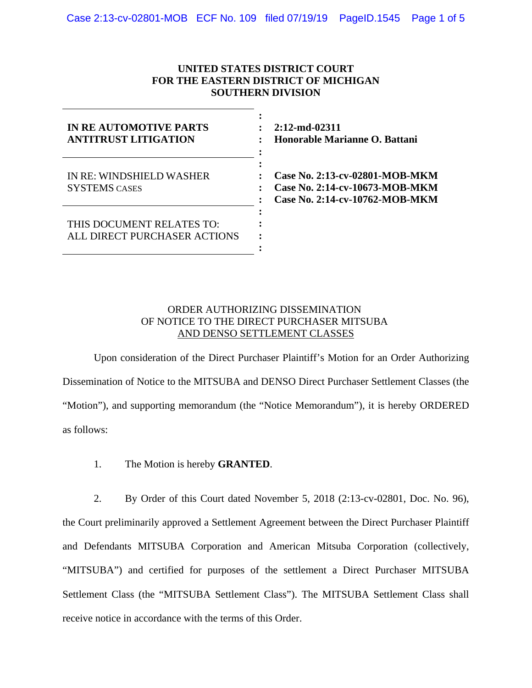# **UNITED STATES DISTRICT COURT FOR THE EASTERN DISTRICT OF MICHIGAN SOUTHERN DIVISION**

| IN RE AUTOMOTIVE PARTS<br><b>ANTITRUST LITIGATION</b>     | $2:12$ -md-02311<br>Honorable Marianne O. Battani                                                  |
|-----------------------------------------------------------|----------------------------------------------------------------------------------------------------|
| IN RE: WINDSHIELD WASHER<br><b>SYSTEMS CASES</b>          | Case No. 2:13-cv-02801-MOB-MKM<br>Case No. 2:14-cv-10673-MOB-MKM<br>Case No. 2:14-cv-10762-MOB-MKM |
| THIS DOCUMENT RELATES TO:<br>ALL DIRECT PURCHASER ACTIONS |                                                                                                    |

# ORDER AUTHORIZING DISSEMINATION OF NOTICE TO THE DIRECT PURCHASER MITSUBA AND DENSO SETTLEMENT CLASSES

Upon consideration of the Direct Purchaser Plaintiff's Motion for an Order Authorizing Dissemination of Notice to the MITSUBA and DENSO Direct Purchaser Settlement Classes (the "Motion"), and supporting memorandum (the "Notice Memorandum"), it is hereby ORDERED as follows:

1. The Motion is hereby **GRANTED**.

2. By Order of this Court dated November 5, 2018 (2:13-cv-02801, Doc. No. 96), the Court preliminarily approved a Settlement Agreement between the Direct Purchaser Plaintiff and Defendants MITSUBA Corporation and American Mitsuba Corporation (collectively, "MITSUBA") and certified for purposes of the settlement a Direct Purchaser MITSUBA Settlement Class (the "MITSUBA Settlement Class"). The MITSUBA Settlement Class shall receive notice in accordance with the terms of this Order.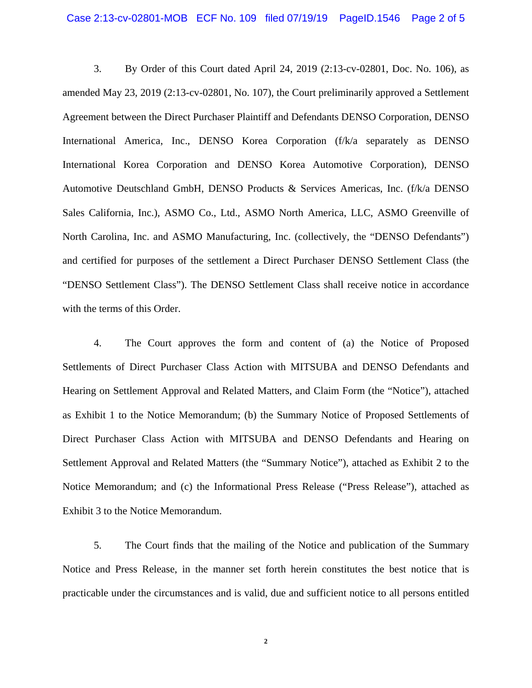3. By Order of this Court dated April 24, 2019 (2:13-cv-02801, Doc. No. 106), as amended May 23, 2019 (2:13-cv-02801, No. 107), the Court preliminarily approved a Settlement Agreement between the Direct Purchaser Plaintiff and Defendants DENSO Corporation, DENSO International America, Inc., DENSO Korea Corporation (f/k/a separately as DENSO International Korea Corporation and DENSO Korea Automotive Corporation), DENSO Automotive Deutschland GmbH, DENSO Products & Services Americas, Inc. (f/k/a DENSO Sales California, Inc.), ASMO Co., Ltd., ASMO North America, LLC, ASMO Greenville of North Carolina, Inc. and ASMO Manufacturing, Inc. (collectively, the "DENSO Defendants") and certified for purposes of the settlement a Direct Purchaser DENSO Settlement Class (the "DENSO Settlement Class"). The DENSO Settlement Class shall receive notice in accordance with the terms of this Order.

4. The Court approves the form and content of (a) the Notice of Proposed Settlements of Direct Purchaser Class Action with MITSUBA and DENSO Defendants and Hearing on Settlement Approval and Related Matters, and Claim Form (the "Notice"), attached as Exhibit 1 to the Notice Memorandum; (b) the Summary Notice of Proposed Settlements of Direct Purchaser Class Action with MITSUBA and DENSO Defendants and Hearing on Settlement Approval and Related Matters (the "Summary Notice"), attached as Exhibit 2 to the Notice Memorandum; and (c) the Informational Press Release ("Press Release"), attached as Exhibit 3 to the Notice Memorandum.

5. The Court finds that the mailing of the Notice and publication of the Summary Notice and Press Release, in the manner set forth herein constitutes the best notice that is practicable under the circumstances and is valid, due and sufficient notice to all persons entitled

**2**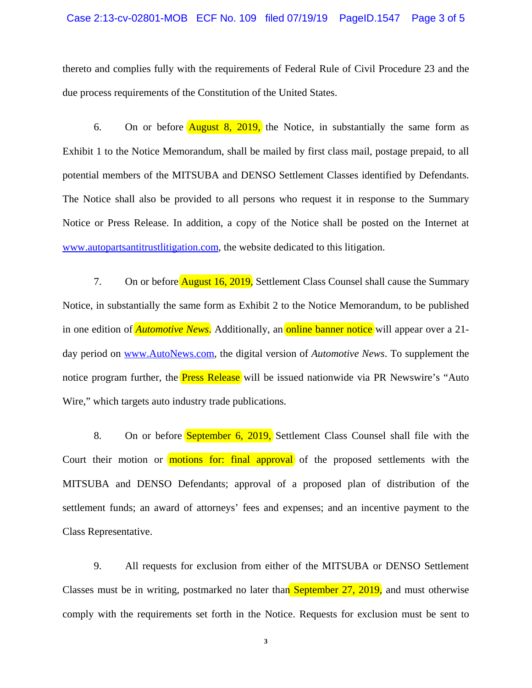### Case 2:13-cv-02801-MOB ECF No. 109 filed 07/19/19 PageID.1547 Page 3 of 5

thereto and complies fully with the requirements of Federal Rule of Civil Procedure 23 and the due process requirements of the Constitution of the United States.

6. On or before  $\overline{\text{August 8, 2019}}$ , the Notice, in substantially the same form as Exhibit 1 to the Notice Memorandum, shall be mailed by first class mail, postage prepaid, to all potential members of the MITSUBA and DENSO Settlement Classes identified by Defendants. The Notice shall also be provided to all persons who request it in response to the Summary Notice or Press Release. In addition, a copy of the Notice shall be posted on the Internet at www.autopartsantitrustlitigation.com, the website dedicated to this litigation.

7. On or before **August 16, 2019**, Settlement Class Counsel shall cause the Summary Notice, in substantially the same form as Exhibit 2 to the Notice Memorandum, to be published in one edition of *Automotive News*. Additionally, an online banner notice will appear over a 21day period on www.AutoNews.com, the digital version of *Automotive News*. To supplement the notice program further, the **Press Release** will be issued nationwide via PR Newswire's "Auto" Wire," which targets auto industry trade publications.

8. On or before **September 6, 2019,** Settlement Class Counsel shall file with the Court their motion or **motions for: final approval** of the proposed settlements with the MITSUBA and DENSO Defendants; approval of a proposed plan of distribution of the settlement funds; an award of attorneys' fees and expenses; and an incentive payment to the Class Representative.

9. All requests for exclusion from either of the MITSUBA or DENSO Settlement Classes must be in writing, postmarked no later than September 27, 2019, and must otherwise comply with the requirements set forth in the Notice. Requests for exclusion must be sent to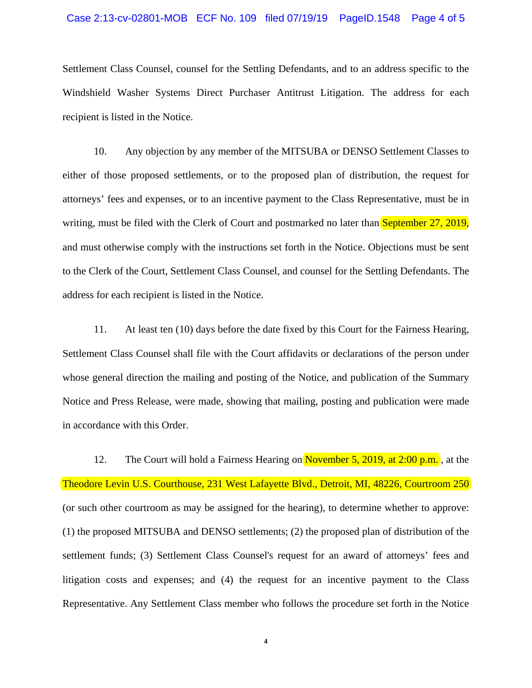#### Case 2:13-cv-02801-MOB ECF No. 109 filed 07/19/19 PageID.1548 Page 4 of 5

Settlement Class Counsel, counsel for the Settling Defendants, and to an address specific to the Windshield Washer Systems Direct Purchaser Antitrust Litigation. The address for each recipient is listed in the Notice.

10. Any objection by any member of the MITSUBA or DENSO Settlement Classes to either of those proposed settlements, or to the proposed plan of distribution, the request for attorneys' fees and expenses, or to an incentive payment to the Class Representative, must be in writing, must be filed with the Clerk of Court and postmarked no later than **September 27, 2019**, and must otherwise comply with the instructions set forth in the Notice. Objections must be sent to the Clerk of the Court, Settlement Class Counsel, and counsel for the Settling Defendants. The address for each recipient is listed in the Notice.

11. At least ten (10) days before the date fixed by this Court for the Fairness Hearing, Settlement Class Counsel shall file with the Court affidavits or declarations of the person under whose general direction the mailing and posting of the Notice, and publication of the Summary Notice and Press Release, were made, showing that mailing, posting and publication were made in accordance with this Order.

12. The Court will hold a Fairness Hearing on November 5, 2019, at 2:00 p.m., at the Theodore Levin U.S. Courthouse, 231 West Lafayette Blvd., Detroit, MI, 48226, Courtroom 250 (or such other courtroom as may be assigned for the hearing), to determine whether to approve: (1) the proposed MITSUBA and DENSO settlements; (2) the proposed plan of distribution of the settlement funds; (3) Settlement Class Counsel's request for an award of attorneys' fees and litigation costs and expenses; and (4) the request for an incentive payment to the Class Representative. Any Settlement Class member who follows the procedure set forth in the Notice